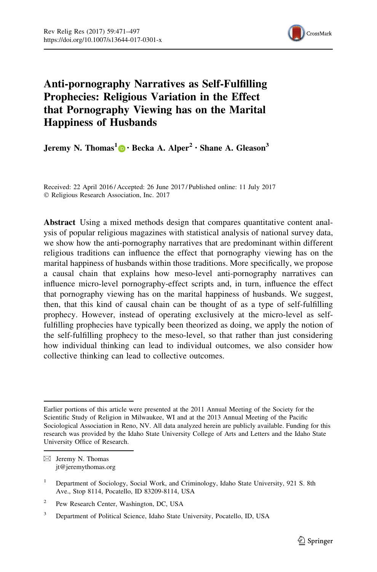

# Anti-pornography Narratives as Self-Fulfilling Prophecies: Religious Variation in the Effect that Pornography Viewing has on the Marital Happiness of Husbands

Jeremy N. Thomas<sup>1</sup> • Becka A. Alper<sup>2</sup> • Shane A. Gleason<sup>3</sup>

Received: 22 April 2016 / Accepted: 26 June 2017 / Published online: 11 July 2017 © Religious Research Association, Inc. 2017

Abstract Using a mixed methods design that compares quantitative content analysis of popular religious magazines with statistical analysis of national survey data, we show how the anti-pornography narratives that are predominant within different religious traditions can influence the effect that pornography viewing has on the marital happiness of husbands within those traditions. More specifically, we propose a causal chain that explains how meso-level anti-pornography narratives can influence micro-level pornography-effect scripts and, in turn, influence the effect that pornography viewing has on the marital happiness of husbands. We suggest, then, that this kind of causal chain can be thought of as a type of self-fulfilling prophecy. However, instead of operating exclusively at the micro-level as selffulfilling prophecies have typically been theorized as doing, we apply the notion of the self-fulfilling prophecy to the meso-level, so that rather than just considering how individual thinking can lead to individual outcomes, we also consider how collective thinking can lead to collective outcomes.

Earlier portions of this article were presented at the 2011 Annual Meeting of the Society for the Scientific Study of Religion in Milwaukee, WI and at the 2013 Annual Meeting of the Pacific Sociological Association in Reno, NV. All data analyzed herein are publicly available. Funding for this research was provided by the Idaho State University College of Arts and Letters and the Idaho State University Office of Research.

 $\boxtimes$  Jeremy N. Thomas jt@jeremythomas.org

<sup>&</sup>lt;sup>1</sup> Department of Sociology, Social Work, and Criminology, Idaho State University, 921 S. 8th Ave., Stop 8114, Pocatello, ID 83209-8114, USA

<sup>&</sup>lt;sup>2</sup> Pew Research Center, Washington, DC, USA

<sup>&</sup>lt;sup>3</sup> Department of Political Science, Idaho State University, Pocatello, ID, USA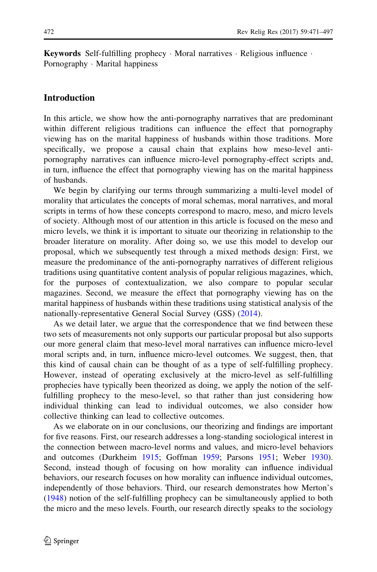Keywords Self-fulfilling prophecy - Moral narratives - Religious influence - Pornography - Marital happiness

# Introduction

In this article, we show how the anti-pornography narratives that are predominant within different religious traditions can influence the effect that pornography viewing has on the marital happiness of husbands within those traditions. More specifically, we propose a causal chain that explains how meso-level antipornography narratives can influence micro-level pornography-effect scripts and, in turn, influence the effect that pornography viewing has on the marital happiness of husbands.

We begin by clarifying our terms through summarizing a multi-level model of morality that articulates the concepts of moral schemas, moral narratives, and moral scripts in terms of how these concepts correspond to macro, meso, and micro levels of society. Although most of our attention in this article is focused on the meso and micro levels, we think it is important to situate our theorizing in relationship to the broader literature on morality. After doing so, we use this model to develop our proposal, which we subsequently test through a mixed methods design: First, we measure the predominance of the anti-pornography narratives of different religious traditions using quantitative content analysis of popular religious magazines, which, for the purposes of contextualization, we also compare to popular secular magazines. Second, we measure the effect that pornography viewing has on the marital happiness of husbands within these traditions using statistical analysis of the nationally-representative General Social Survey (GSS) ([2014\)](#page-23-0).

As we detail later, we argue that the correspondence that we find between these two sets of measurements not only supports our particular proposal but also supports our more general claim that meso-level moral narratives can influence micro-level moral scripts and, in turn, influence micro-level outcomes. We suggest, then, that this kind of causal chain can be thought of as a type of self-fulfilling prophecy. However, instead of operating exclusively at the micro-level as self-fulfilling prophecies have typically been theorized as doing, we apply the notion of the selffulfilling prophecy to the meso-level, so that rather than just considering how individual thinking can lead to individual outcomes, we also consider how collective thinking can lead to collective outcomes.

As we elaborate on in our conclusions, our theorizing and findings are important for five reasons. First, our research addresses a long-standing sociological interest in the connection between macro-level norms and values, and micro-level behaviors and outcomes (Durkheim [1915](#page-23-0); Goffman [1959;](#page-23-0) Parsons [1951](#page-25-0); Weber [1930\)](#page-26-0). Second, instead though of focusing on how morality can influence individual behaviors, our research focuses on how morality can influence individual outcomes, independently of those behaviors. Third, our research demonstrates how Merton's [\(1948](#page-24-0)) notion of the self-fulfilling prophecy can be simultaneously applied to both the micro and the meso levels. Fourth, our research directly speaks to the sociology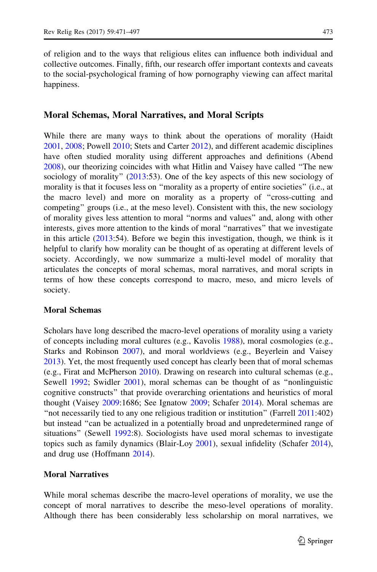of religion and to the ways that religious elites can influence both individual and collective outcomes. Finally, fifth, our research offer important contexts and caveats to the social-psychological framing of how pornography viewing can affect marital happiness.

# Moral Schemas, Moral Narratives, and Moral Scripts

While there are many ways to think about the operations of morality (Haidt [2001,](#page-23-0) [2008;](#page-23-0) Powell [2010](#page-25-0); Stets and Carter [2012\)](#page-25-0), and different academic disciplines have often studied morality using different approaches and definitions (Abend [2008\)](#page-22-0), our theorizing coincides with what Hitlin and Vaisey have called ''The new sociology of morality'' ([2013:](#page-24-0)53). One of the key aspects of this new sociology of morality is that it focuses less on ''morality as a property of entire societies'' (i.e., at the macro level) and more on morality as a property of ''cross-cutting and competing'' groups (i.e., at the meso level). Consistent with this, the new sociology of morality gives less attention to moral ''norms and values'' and, along with other interests, gives more attention to the kinds of moral ''narratives'' that we investigate in this article ([2013:](#page-24-0)54). Before we begin this investigation, though, we think is it helpful to clarify how morality can be thought of as operating at different levels of society. Accordingly, we now summarize a multi-level model of morality that articulates the concepts of moral schemas, moral narratives, and moral scripts in terms of how these concepts correspond to macro, meso, and micro levels of society.

# Moral Schemas

Scholars have long described the macro-level operations of morality using a variety of concepts including moral cultures (e.g., Kavolis [1988\)](#page-24-0), moral cosmologies (e.g., Starks and Robinson [2007](#page-25-0)), and moral worldviews (e.g., Beyerlein and Vaisey [2013\)](#page-22-0). Yet, the most frequently used concept has clearly been that of moral schemas (e.g., Firat and McPherson [2010](#page-23-0)). Drawing on research into cultural schemas (e.g., Sewell [1992](#page-25-0); Swidler [2001](#page-25-0)), moral schemas can be thought of as ''nonlinguistic cognitive constructs'' that provide overarching orientations and heuristics of moral thought (Vaisey [2009](#page-26-0):1686; See Ignatow [2009;](#page-24-0) Schafer [2014\)](#page-25-0). Moral schemas are ''not necessarily tied to any one religious tradition or institution'' (Farrell [2011](#page-23-0):402) but instead ''can be actualized in a potentially broad and unpredetermined range of situations'' (Sewell [1992](#page-25-0):8). Sociologists have used moral schemas to investigate topics such as family dynamics (Blair-Loy [2001](#page-22-0)), sexual infidelity (Schafer [2014\)](#page-25-0), and drug use (Hoffmann [2014\)](#page-24-0).

# Moral Narratives

While moral schemas describe the macro-level operations of morality, we use the concept of moral narratives to describe the meso-level operations of morality. Although there has been considerably less scholarship on moral narratives, we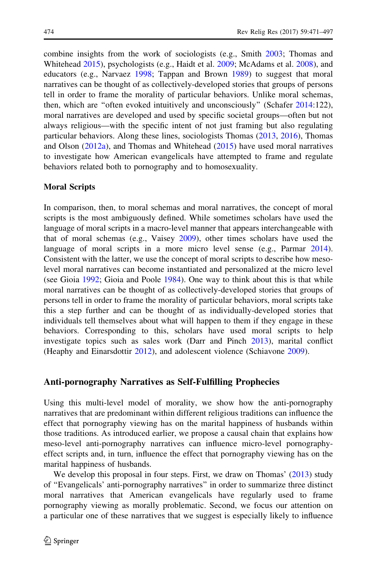combine insights from the work of sociologists (e.g., Smith [2003;](#page-25-0) Thomas and Whitehead [2015](#page-26-0)), psychologists (e.g., Haidt et al. [2009](#page-24-0); McAdams et al. [2008](#page-24-0)), and educators (e.g., Narvaez [1998;](#page-24-0) Tappan and Brown [1989](#page-25-0)) to suggest that moral narratives can be thought of as collectively-developed stories that groups of persons tell in order to frame the morality of particular behaviors. Unlike moral schemas, then, which are ''often evoked intuitively and unconsciously'' (Schafer [2014:](#page-25-0)122), moral narratives are developed and used by specific societal groups—often but not always religious—with the specific intent of not just framing but also regulating particular behaviors. Along these lines, sociologists Thomas ([2013,](#page-25-0) [2016](#page-26-0)), Thomas and Olson ([2012a](#page-26-0)), and Thomas and Whitehead ([2015](#page-26-0)) have used moral narratives to investigate how American evangelicals have attempted to frame and regulate behaviors related both to pornography and to homosexuality.

### Moral Scripts

In comparison, then, to moral schemas and moral narratives, the concept of moral scripts is the most ambiguously defined. While sometimes scholars have used the language of moral scripts in a macro-level manner that appears interchangeable with that of moral schemas (e.g., Vaisey [2009\)](#page-26-0), other times scholars have used the language of moral scripts in a more micro level sense (e.g., Parmar [2014\)](#page-25-0). Consistent with the latter, we use the concept of moral scripts to describe how mesolevel moral narratives can become instantiated and personalized at the micro level (see Gioia [1992;](#page-23-0) Gioia and Poole [1984](#page-23-0)). One way to think about this is that while moral narratives can be thought of as collectively-developed stories that groups of persons tell in order to frame the morality of particular behaviors, moral scripts take this a step further and can be thought of as individually-developed stories that individuals tell themselves about what will happen to them if they engage in these behaviors. Corresponding to this, scholars have used moral scripts to help investigate topics such as sales work (Darr and Pinch [2013](#page-23-0)), marital conflict (Heaphy and Einarsdottir [2012](#page-24-0)), and adolescent violence (Schiavone [2009](#page-25-0)).

# Anti-pornography Narratives as Self-Fulfilling Prophecies

Using this multi-level model of morality, we show how the anti-pornography narratives that are predominant within different religious traditions can influence the effect that pornography viewing has on the marital happiness of husbands within those traditions. As introduced earlier, we propose a causal chain that explains how meso-level anti-pornography narratives can influence micro-level pornographyeffect scripts and, in turn, influence the effect that pornography viewing has on the marital happiness of husbands.

We develop this proposal in four steps. First, we draw on Thomas' [\(2013](#page-25-0)) study of ''Evangelicals' anti-pornography narratives'' in order to summarize three distinct moral narratives that American evangelicals have regularly used to frame pornography viewing as morally problematic. Second, we focus our attention on a particular one of these narratives that we suggest is especially likely to influence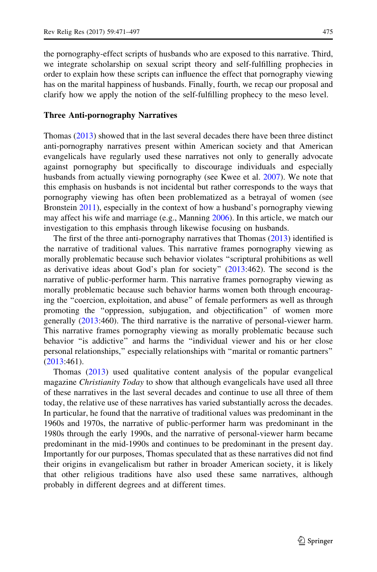the pornography-effect scripts of husbands who are exposed to this narrative. Third, we integrate scholarship on sexual script theory and self-fulfilling prophecies in order to explain how these scripts can influence the effect that pornography viewing

has on the marital happiness of husbands. Finally, fourth, we recap our proposal and clarify how we apply the notion of the self-fulfilling prophecy to the meso level.

#### Three Anti-pornography Narratives

Thomas ([2013\)](#page-25-0) showed that in the last several decades there have been three distinct anti-pornography narratives present within American society and that American evangelicals have regularly used these narratives not only to generally advocate against pornography but specifically to discourage individuals and especially husbands from actually viewing pornography (see Kwee et al. [2007\)](#page-24-0). We note that this emphasis on husbands is not incidental but rather corresponds to the ways that pornography viewing has often been problematized as a betrayal of women (see Bronstein [2011\)](#page-23-0), especially in the context of how a husband's pornography viewing may affect his wife and marriage (e.g., Manning [2006](#page-24-0)). In this article, we match our investigation to this emphasis through likewise focusing on husbands.

The first of the three anti-pornography narratives that Thomas ([2013\)](#page-25-0) identified is the narrative of traditional values. This narrative frames pornography viewing as morally problematic because such behavior violates ''scriptural prohibitions as well as derivative ideas about God's plan for society'' ([2013:](#page-25-0)462). The second is the narrative of public-performer harm. This narrative frames pornography viewing as morally problematic because such behavior harms women both through encouraging the ''coercion, exploitation, and abuse'' of female performers as well as through promoting the ''oppression, subjugation, and objectification'' of women more generally ([2013:](#page-25-0)460). The third narrative is the narrative of personal-viewer harm. This narrative frames pornography viewing as morally problematic because such behavior ''is addictive'' and harms the ''individual viewer and his or her close personal relationships,'' especially relationships with ''marital or romantic partners'' [\(2013](#page-25-0):461).

Thomas [\(2013](#page-25-0)) used qualitative content analysis of the popular evangelical magazine *Christianity Today* to show that although evangelicals have used all three of these narratives in the last several decades and continue to use all three of them today, the relative use of these narratives has varied substantially across the decades. In particular, he found that the narrative of traditional values was predominant in the 1960s and 1970s, the narrative of public-performer harm was predominant in the 1980s through the early 1990s, and the narrative of personal-viewer harm became predominant in the mid-1990s and continues to be predominant in the present day. Importantly for our purposes, Thomas speculated that as these narratives did not find their origins in evangelicalism but rather in broader American society, it is likely that other religious traditions have also used these same narratives, although probably in different degrees and at different times.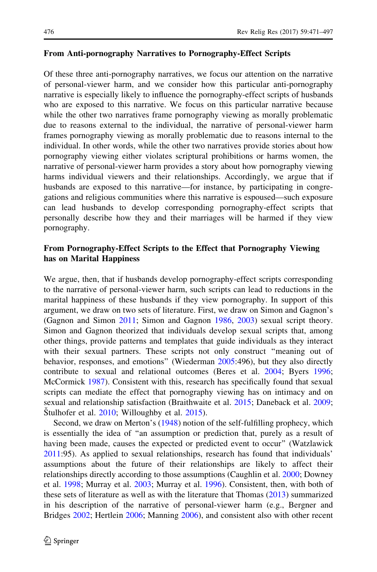#### From Anti-pornography Narratives to Pornography-Effect Scripts

Of these three anti-pornography narratives, we focus our attention on the narrative of personal-viewer harm, and we consider how this particular anti-pornography narrative is especially likely to influence the pornography-effect scripts of husbands who are exposed to this narrative. We focus on this particular narrative because while the other two narratives frame pornography viewing as morally problematic due to reasons external to the individual, the narrative of personal-viewer harm frames pornography viewing as morally problematic due to reasons internal to the individual. In other words, while the other two narratives provide stories about how pornography viewing either violates scriptural prohibitions or harms women, the narrative of personal-viewer harm provides a story about how pornography viewing harms individual viewers and their relationships. Accordingly, we argue that if husbands are exposed to this narrative—for instance, by participating in congregations and religious communities where this narrative is espoused—such exposure can lead husbands to develop corresponding pornography-effect scripts that personally describe how they and their marriages will be harmed if they view pornography.

# From Pornography-Effect Scripts to the Effect that Pornography Viewing has on Marital Happiness

We argue, then, that if husbands develop pornography-effect scripts corresponding to the narrative of personal-viewer harm, such scripts can lead to reductions in the marital happiness of these husbands if they view pornography. In support of this argument, we draw on two sets of literature. First, we draw on Simon and Gagnon's (Gagnon and Simon [2011;](#page-23-0) Simon and Gagnon [1986](#page-25-0), [2003\)](#page-25-0) sexual script theory. Simon and Gagnon theorized that individuals develop sexual scripts that, among other things, provide patterns and templates that guide individuals as they interact with their sexual partners. These scripts not only construct "meaning out of behavior, responses, and emotions'' (Wiederman [2005:](#page-26-0)496), but they also directly contribute to sexual and relational outcomes (Beres et al. [2004](#page-22-0); Byers [1996;](#page-23-0) McCormick [1987](#page-24-0)). Consistent with this, research has specifically found that sexual scripts can mediate the effect that pornography viewing has on intimacy and on sexual and relationship satisfaction (Braithwaite et al. [2015](#page-22-0); Daneback et al. [2009;](#page-23-0) Stulhofer et al. [2010](#page-25-0); Willoughby et al. [2015](#page-26-0)).

Second, we draw on Merton's ([1948\)](#page-24-0) notion of the self-fulfilling prophecy, which is essentially the idea of ''an assumption or prediction that, purely as a result of having been made, causes the expected or predicted event to occur'' (Watzlawick [2011:](#page-26-0)95). As applied to sexual relationships, research has found that individuals' assumptions about the future of their relationships are likely to affect their relationships directly according to those assumptions (Caughlin et al. [2000](#page-23-0); Downey et al. [1998](#page-23-0); Murray et al. [2003](#page-24-0); Murray et al. [1996\)](#page-24-0). Consistent, then, with both of these sets of literature as well as with the literature that Thomas [\(2013](#page-25-0)) summarized in his description of the narrative of personal-viewer harm (e.g., Bergner and Bridges [2002](#page-22-0); Hertlein [2006;](#page-24-0) Manning [2006](#page-24-0)), and consistent also with other recent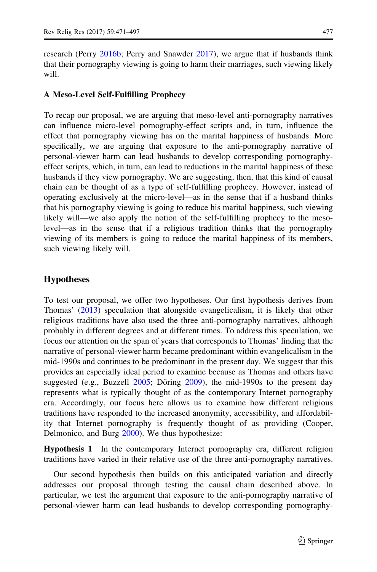research (Perry [2016b](#page-25-0); Perry and Snawder [2017\)](#page-25-0), we argue that if husbands think that their pornography viewing is going to harm their marriages, such viewing likely will.

### A Meso-Level Self-Fulfilling Prophecy

To recap our proposal, we are arguing that meso-level anti-pornography narratives can influence micro-level pornography-effect scripts and, in turn, influence the effect that pornography viewing has on the marital happiness of husbands. More specifically, we are arguing that exposure to the anti-pornography narrative of personal-viewer harm can lead husbands to develop corresponding pornographyeffect scripts, which, in turn, can lead to reductions in the marital happiness of these husbands if they view pornography. We are suggesting, then, that this kind of causal chain can be thought of as a type of self-fulfilling prophecy. However, instead of operating exclusively at the micro-level—as in the sense that if a husband thinks that his pornography viewing is going to reduce his marital happiness, such viewing likely will—we also apply the notion of the self-fulfilling prophecy to the mesolevel—as in the sense that if a religious tradition thinks that the pornography viewing of its members is going to reduce the marital happiness of its members, such viewing likely will.

# Hypotheses

To test our proposal, we offer two hypotheses. Our first hypothesis derives from Thomas' [\(2013](#page-25-0)) speculation that alongside evangelicalism, it is likely that other religious traditions have also used the three anti-pornography narratives, although probably in different degrees and at different times. To address this speculation, we focus our attention on the span of years that corresponds to Thomas' finding that the narrative of personal-viewer harm became predominant within evangelicalism in the mid-1990s and continues to be predominant in the present day. We suggest that this provides an especially ideal period to examine because as Thomas and others have suggested (e.g., Buzzell  $2005$ ; Döring  $2009$ ), the mid-1990s to the present day represents what is typically thought of as the contemporary Internet pornography era. Accordingly, our focus here allows us to examine how different religious traditions have responded to the increased anonymity, accessibility, and affordability that Internet pornography is frequently thought of as providing (Cooper, Delmonico, and Burg [2000](#page-23-0)). We thus hypothesize:

Hypothesis 1 In the contemporary Internet pornography era, different religion traditions have varied in their relative use of the three anti-pornography narratives.

Our second hypothesis then builds on this anticipated variation and directly addresses our proposal through testing the causal chain described above. In particular, we test the argument that exposure to the anti-pornography narrative of personal-viewer harm can lead husbands to develop corresponding pornography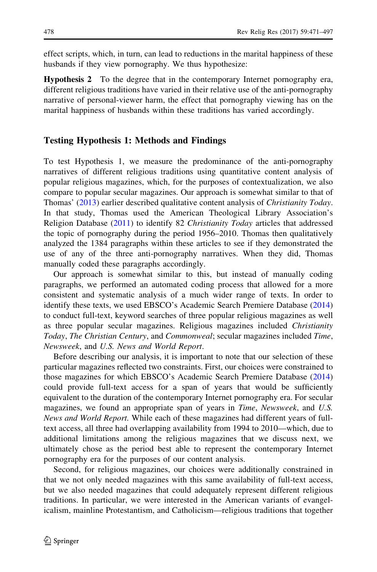effect scripts, which, in turn, can lead to reductions in the marital happiness of these husbands if they view pornography. We thus hypothesize:

Hypothesis 2 To the degree that in the contemporary Internet pornography era, different religious traditions have varied in their relative use of the anti-pornography narrative of personal-viewer harm, the effect that pornography viewing has on the marital happiness of husbands within these traditions has varied accordingly.

## Testing Hypothesis 1: Methods and Findings

To test Hypothesis 1, we measure the predominance of the anti-pornography narratives of different religious traditions using quantitative content analysis of popular religious magazines, which, for the purposes of contextualization, we also compare to popular secular magazines. Our approach is somewhat similar to that of Thomas' ([2013](#page-25-0)) earlier described qualitative content analysis of Christianity Today. In that study, Thomas used the American Theological Library Association's Religion Database [\(2011](#page-22-0)) to identify 82 Christianity Today articles that addressed the topic of pornography during the period 1956–2010. Thomas then qualitatively analyzed the 1384 paragraphs within these articles to see if they demonstrated the use of any of the three anti-pornography narratives. When they did, Thomas manually coded these paragraphs accordingly.

Our approach is somewhat similar to this, but instead of manually coding paragraphs, we performed an automated coding process that allowed for a more consistent and systematic analysis of a much wider range of texts. In order to identify these texts, we used EBSCO's Academic Search Premiere Database [\(2014](#page-23-0)) to conduct full-text, keyword searches of three popular religious magazines as well as three popular secular magazines. Religious magazines included Christianity Today, The Christian Century, and Commonweal; secular magazines included Time, Newsweek, and U.S. News and World Report.

Before describing our analysis, it is important to note that our selection of these particular magazines reflected two constraints. First, our choices were constrained to those magazines for which EBSCO's Academic Search Premiere Database [\(2014](#page-23-0)) could provide full-text access for a span of years that would be sufficiently equivalent to the duration of the contemporary Internet pornography era. For secular magazines, we found an appropriate span of years in *Time, Newsweek*, and U.S. News and World Report. While each of these magazines had different years of fulltext access, all three had overlapping availability from 1994 to 2010—which, due to additional limitations among the religious magazines that we discuss next, we ultimately chose as the period best able to represent the contemporary Internet pornography era for the purposes of our content analysis.

Second, for religious magazines, our choices were additionally constrained in that we not only needed magazines with this same availability of full-text access, but we also needed magazines that could adequately represent different religious traditions. In particular, we were interested in the American variants of evangelicalism, mainline Protestantism, and Catholicism—religious traditions that together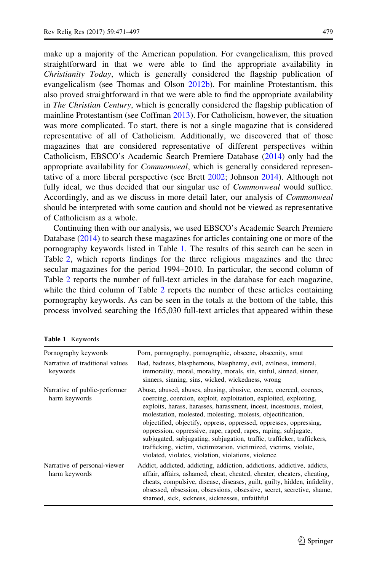<span id="page-8-0"></span>make up a majority of the American population. For evangelicalism, this proved straightforward in that we were able to find the appropriate availability in Christianity Today, which is generally considered the flagship publication of evangelicalism (see Thomas and Olson [2012b\)](#page-26-0). For mainline Protestantism, this also proved straightforward in that we were able to find the appropriate availability in The Christian Century, which is generally considered the flagship publication of mainline Protestantism (see Coffman [2013\)](#page-23-0). For Catholicism, however, the situation was more complicated. To start, there is not a single magazine that is considered representative of all of Catholicism. Additionally, we discovered that of those magazines that are considered representative of different perspectives within Catholicism, EBSCO's Academic Search Premiere Database ([2014\)](#page-23-0) only had the appropriate availability for *Commonweal*, which is generally considered representative of a more liberal perspective (see Brett [2002](#page-23-0); Johnson [2014\)](#page-24-0). Although not fully ideal, we thus decided that our singular use of *Commonweal* would suffice. Accordingly, and as we discuss in more detail later, our analysis of Commonweal should be interpreted with some caution and should not be viewed as representative of Catholicism as a whole.

Continuing then with our analysis, we used EBSCO's Academic Search Premiere Database [\(2014](#page-23-0)) to search these magazines for articles containing one or more of the pornography keywords listed in Table 1. The results of this search can be seen in Table [2](#page-9-0), which reports findings for the three religious magazines and the three secular magazines for the period 1994–2010. In particular, the second column of Table [2](#page-9-0) reports the number of full-text articles in the database for each magazine, while the third column of Table [2](#page-9-0) reports the number of these articles containing pornography keywords. As can be seen in the totals at the bottom of the table, this process involved searching the 165,030 full-text articles that appeared within these

| Table 1 | Keywords |  |
|---------|----------|--|
|---------|----------|--|

| Pornography keywords                           | Porn, pornography, pornographic, obscene, obscenity, smut                                                                                                                                                                                                                                                                                                                                                                                                                                                                                                                                                                    |
|------------------------------------------------|------------------------------------------------------------------------------------------------------------------------------------------------------------------------------------------------------------------------------------------------------------------------------------------------------------------------------------------------------------------------------------------------------------------------------------------------------------------------------------------------------------------------------------------------------------------------------------------------------------------------------|
| Narrative of traditional values<br>keywords    | Bad, badness, blasphemous, blasphemy, evil, evilness, immoral,<br>immorality, moral, morality, morals, sin, sinful, sinned, sinner,<br>sinners, sinning, sins, wicked, wickedness, wrong                                                                                                                                                                                                                                                                                                                                                                                                                                     |
| Narrative of public-performer<br>harm keywords | Abuse, abused, abuses, abusing, abusive, coerce, coerced, coerces,<br>coercing, coercion, exploit, exploitation, exploited, exploiting,<br>exploits, harass, harasses, harassment, incest, incestuous, molest,<br>molestation, molested, molesting, molests, objectification,<br>objectified, objectify, oppress, oppressed, oppresses, oppressing,<br>oppression, oppressive, rape, raped, rapes, raping, subjugate,<br>subjugated, subjugating, subjugation, traffic, trafficker, traffickers,<br>trafficking, victim, victimization, victimized, victims, violate,<br>violated, violates, violation, violations, violence |
| Narrative of personal-viewer<br>harm keywords  | Addict, addicted, addicting, addiction, addictions, addictive, addicts,<br>affair, affairs, ashamed, cheat, cheated, cheater, cheaters, cheating,<br>cheats, compulsive, disease, diseases, guilt, guilty, hidden, infidelity,<br>obsessed, obsession, obsessions, obsessive, secret, secretive, shame,<br>shamed, sick, sickness, sicknesses, unfaithful                                                                                                                                                                                                                                                                    |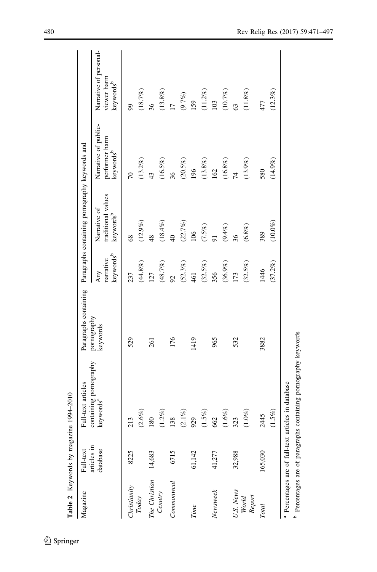<span id="page-9-0"></span>

|                                           |                         | Table 2 Keywords by magazine 1994-2010          |                         |                                           |                                                             |                                                                 |                                                                |
|-------------------------------------------|-------------------------|-------------------------------------------------|-------------------------|-------------------------------------------|-------------------------------------------------------------|-----------------------------------------------------------------|----------------------------------------------------------------|
| Magazine                                  | Full-text               | Full-text articles                              | Paragraphs containing   |                                           | Paragraphs containing pornography keywords and              |                                                                 |                                                                |
|                                           | articles in<br>database | containing pornography<br>keywords <sup>a</sup> | pornography<br>keywords | keywords <sup>b</sup><br>narrative<br>Any | traditional values<br>Narrative of<br>keywords <sup>b</sup> | Narrative of public-<br>performer harm<br>keywords <sup>b</sup> | Narrative of personal-<br>viewer harm<br>keywords <sup>b</sup> |
| <b>Christianity</b><br>Today              | 8225                    | $(2.6\%)$<br>213                                | 529                     | $(44.8\%)$<br>237                         | $(12.9\%)$<br>68                                            | $(13.2\%)$<br>$\overline{2}$                                    | $(18.7\%)$<br>99                                               |
| The Christian                             | 14,683                  | 180                                             | 261                     | 127                                       | 48                                                          | 43                                                              | 36                                                             |
| Cenutry                                   |                         |                                                 |                         | $(48.7\%)$                                | $(18.4\%)$                                                  | $(16.5\%)$                                                      | $(13.8\%)$                                                     |
| Commonweal                                | 6715                    | $\frac{(1.2\%)}{138}$                           | 176                     | 92                                        | $\frac{40}{5}$                                              | 36                                                              | $\overline{17}$                                                |
|                                           |                         | $(2.1\%)$                                       |                         | $(52.3\%)$                                | (22.7%)                                                     | $(20.5\%)$                                                      | $(9.7\%)$                                                      |
| Time                                      | 61,142                  | 929                                             | 1419                    | 461                                       | 106                                                         | 196                                                             | 159                                                            |
|                                           |                         |                                                 |                         | $(32.5\%)$                                | $(7.5\%)$                                                   | $(13.8\%)$                                                      |                                                                |
| Newsweek                                  | 41,277                  | $(1.5\%)$<br>662                                | 965                     | 356                                       | 91                                                          | 162                                                             | $(11.2\%)$<br>103                                              |
|                                           |                         | $(1.6\%)$                                       |                         | $(36.9\%)$                                | $(9.4\%)$                                                   | $(16.8\%)$                                                      | $(10.7\%)$                                                     |
| U.S. News                                 | 32,988                  | 323                                             | 532                     | 173                                       | 36 <sup>5</sup>                                             | 74                                                              | 63                                                             |
| World<br>Report                           |                         | $(1.0\%)$                                       |                         | $(32.5\%)$                                | $(6.8\%)$                                                   | $(13.9\%)$                                                      | $(11.8\%)$                                                     |
| Total                                     | 165,030                 | 2445                                            | 3882                    | 1446                                      | 389                                                         | 580                                                             | 477                                                            |
|                                           |                         | $(1.5\%)$                                       |                         | $(37.2\%)$                                | $(10.0\%)$                                                  | $(14.9\%)$                                                      | (12.3%)                                                        |
| <sup>a</sup> Percentages are of full-text |                         | articles in database                            |                         |                                           |                                                             |                                                                 |                                                                |

<sup>b</sup> Percentages are of paragraphs containing pornography keywords Percentages are of paragraphs containing pornography keywords

 $\underline{\textcircled{\tiny 2}}$  Springer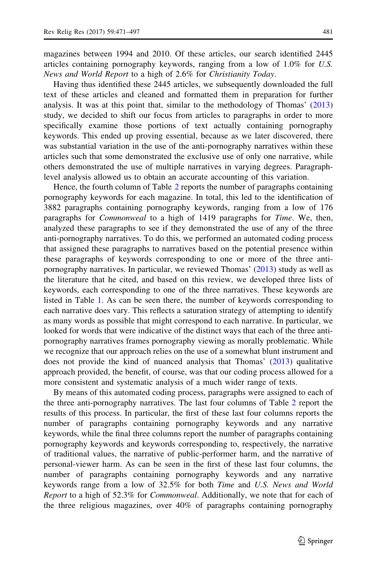magazines between 1994 and 2010. Of these articles, our search identified 2445 articles containing pornography keywords, ranging from a low of 1.0% for U.S. News and World Report to a high of 2.6% for Christianity Today.

Having thus identified these 2445 articles, we subsequently downloaded the full text of these articles and cleaned and formatted them in preparation for further analysis. It was at this point that, similar to the methodology of Thomas' [\(2013](#page-25-0)) study, we decided to shift our focus from articles to paragraphs in order to more specifically examine those portions of text actually containing pornography keywords. This ended up proving essential, because as we later discovered, there was substantial variation in the use of the anti-pornography narratives within these articles such that some demonstrated the exclusive use of only one narrative, while others demonstrated the use of multiple narratives in varying degrees. Paragraphlevel analysis allowed us to obtain an accurate accounting of this variation.

Hence, the fourth column of Table [2](#page-9-0) reports the number of paragraphs containing pornography keywords for each magazine. In total, this led to the identification of 3882 paragraphs containing pornography keywords, ranging from a low of 176 paragraphs for Commonweal to a high of 1419 paragraphs for Time. We, then, analyzed these paragraphs to see if they demonstrated the use of any of the three anti-pornography narratives. To do this, we performed an automated coding process that assigned these paragraphs to narratives based on the potential presence within these paragraphs of keywords corresponding to one or more of the three antipornography narratives. In particular, we reviewed Thomas' [\(2013\)](#page-25-0) study as well as the literature that he cited, and based on this review, we developed three lists of keywords, each corresponding to one of the three narratives. These keywords are listed in Table [1.](#page-8-0) As can be seen there, the number of keywords corresponding to each narrative does vary. This reflects a saturation strategy of attempting to identify as many words as possible that might correspond to each narrative. In particular, we looked for words that were indicative of the distinct ways that each of the three antipornography narratives frames pornography viewing as morally problematic. While we recognize that our approach relies on the use of a somewhat blunt instrument and does not provide the kind of nuanced analysis that Thomas' ([2013\)](#page-25-0) qualitative approach provided, the benefit, of course, was that our coding process allowed for a more consistent and systematic analysis of a much wider range of texts.

By means of this automated coding process, paragraphs were assigned to each of the three anti-pornography narratives. The last four columns of Table [2](#page-9-0) report the results of this process. In particular, the first of these last four columns reports the number of paragraphs containing pornography keywords and any narrative keywords, while the final three columns report the number of paragraphs containing pornography keywords and keywords corresponding to, respectively, the narrative of traditional values, the narrative of public-performer harm, and the narrative of personal-viewer harm. As can be seen in the first of these last four columns, the number of paragraphs containing pornography keywords and any narrative keywords range from a low of 32.5% for both Time and U.S. News and World *Report* to a high of 52.3% for *Commonweal*. Additionally, we note that for each of the three religious magazines, over 40% of paragraphs containing pornography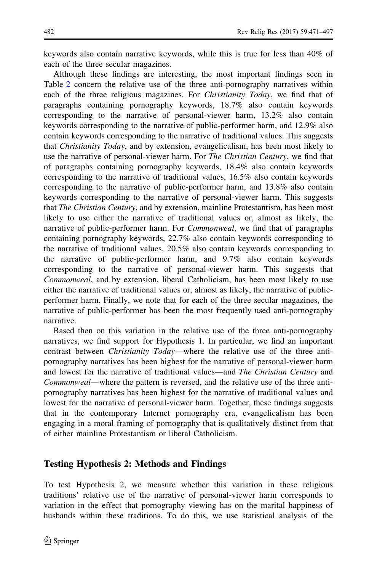keywords also contain narrative keywords, while this is true for less than 40% of each of the three secular magazines.

Although these findings are interesting, the most important findings seen in Table [2](#page-9-0) concern the relative use of the three anti-pornography narratives within each of the three religious magazines. For *Christianity Today*, we find that of paragraphs containing pornography keywords, 18.7% also contain keywords corresponding to the narrative of personal-viewer harm, 13.2% also contain keywords corresponding to the narrative of public-performer harm, and 12.9% also contain keywords corresponding to the narrative of traditional values. This suggests that Christianity Today, and by extension, evangelicalism, has been most likely to use the narrative of personal-viewer harm. For *The Christian Century*, we find that of paragraphs containing pornography keywords, 18.4% also contain keywords corresponding to the narrative of traditional values, 16.5% also contain keywords corresponding to the narrative of public-performer harm, and 13.8% also contain keywords corresponding to the narrative of personal-viewer harm. This suggests that The Christian Century, and by extension, mainline Protestantism, has been most likely to use either the narrative of traditional values or, almost as likely, the narrative of public-performer harm. For *Commonweal*, we find that of paragraphs containing pornography keywords, 22.7% also contain keywords corresponding to the narrative of traditional values, 20.5% also contain keywords corresponding to the narrative of public-performer harm, and 9.7% also contain keywords corresponding to the narrative of personal-viewer harm. This suggests that Commonweal, and by extension, liberal Catholicism, has been most likely to use either the narrative of traditional values or, almost as likely, the narrative of publicperformer harm. Finally, we note that for each of the three secular magazines, the narrative of public-performer has been the most frequently used anti-pornography narrative.

Based then on this variation in the relative use of the three anti-pornography narratives, we find support for Hypothesis 1. In particular, we find an important contrast between *Christianity Today*—where the relative use of the three antipornography narratives has been highest for the narrative of personal-viewer harm and lowest for the narrative of traditional values—and The Christian Century and Commonweal—where the pattern is reversed, and the relative use of the three antipornography narratives has been highest for the narrative of traditional values and lowest for the narrative of personal-viewer harm. Together, these findings suggests that in the contemporary Internet pornography era, evangelicalism has been engaging in a moral framing of pornography that is qualitatively distinct from that of either mainline Protestantism or liberal Catholicism.

# Testing Hypothesis 2: Methods and Findings

To test Hypothesis 2, we measure whether this variation in these religious traditions' relative use of the narrative of personal-viewer harm corresponds to variation in the effect that pornography viewing has on the marital happiness of husbands within these traditions. To do this, we use statistical analysis of the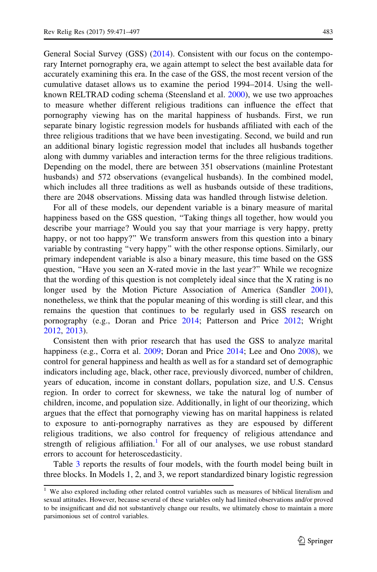General Social Survey (GSS) [\(2014](#page-23-0)). Consistent with our focus on the contemporary Internet pornography era, we again attempt to select the best available data for accurately examining this era. In the case of the GSS, the most recent version of the cumulative dataset allows us to examine the period 1994–2014. Using the well-known RELTRAD coding schema (Steensland et al. [2000\)](#page-25-0), we use two approaches to measure whether different religious traditions can influence the effect that pornography viewing has on the marital happiness of husbands. First, we run separate binary logistic regression models for husbands affiliated with each of the three religious traditions that we have been investigating. Second, we build and run an additional binary logistic regression model that includes all husbands together along with dummy variables and interaction terms for the three religious traditions. Depending on the model, there are between 351 observations (mainline Protestant husbands) and 572 observations (evangelical husbands). In the combined model, which includes all three traditions as well as husbands outside of these traditions, there are 2048 observations. Missing data was handled through listwise deletion.

For all of these models, our dependent variable is a binary measure of marital happiness based on the GSS question, ''Taking things all together, how would you describe your marriage? Would you say that your marriage is very happy, pretty happy, or not too happy?" We transform answers from this question into a binary variable by contrasting ''very happy'' with the other response options. Similarly, our primary independent variable is also a binary measure, this time based on the GSS question, "Have you seen an X-rated movie in the last year?" While we recognize that the wording of this question is not completely ideal since that the X rating is no longer used by the Motion Picture Association of America (Sandler [2001\)](#page-25-0), nonetheless, we think that the popular meaning of this wording is still clear, and this remains the question that continues to be regularly used in GSS research on pornography (e.g., Doran and Price [2014](#page-23-0); Patterson and Price [2012](#page-25-0); Wright [2012,](#page-26-0) [2013\)](#page-26-0).

Consistent then with prior research that has used the GSS to analyze marital happiness (e.g., Corra et al. [2009;](#page-23-0) Doran and Price [2014](#page-23-0); Lee and Ono [2008](#page-24-0)), we control for general happiness and health as well as for a standard set of demographic indicators including age, black, other race, previously divorced, number of children, years of education, income in constant dollars, population size, and U.S. Census region. In order to correct for skewness, we take the natural log of number of children, income, and population size. Additionally, in light of our theorizing, which argues that the effect that pornography viewing has on marital happiness is related to exposure to anti-pornography narratives as they are espoused by different religious traditions, we also control for frequency of religious attendance and strength of religious affiliation.<sup>1</sup> For all of our analyses, we use robust standard errors to account for heteroscedasticity.

Table [3](#page-13-0) reports the results of four models, with the fourth model being built in three blocks. In Models 1, 2, and 3, we report standardized binary logistic regression

<sup>&</sup>lt;sup>1</sup> We also explored including other related control variables such as measures of biblical literalism and sexual attitudes. However, because several of these variables only had limited observations and/or proved to be insignificant and did not substantively change our results, we ultimately chose to maintain a more parsimonious set of control variables.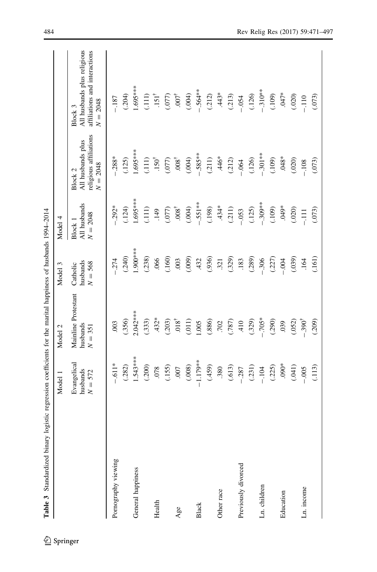<span id="page-13-0"></span>

| promotive children y<br>י אומוני | Model 1                              | Less and the sequence of the control of the control more control in the control of the control of the control of the control of the control of the control of the control of the control of the control of the control of the<br>Model 2 | Model 3                         | ינט⊥<br>Model 4                       |                                                                                 |                                                                                       |
|----------------------------------|--------------------------------------|------------------------------------------------------------------------------------------------------------------------------------------------------------------------------------------------------------------------------------------|---------------------------------|---------------------------------------|---------------------------------------------------------------------------------|---------------------------------------------------------------------------------------|
|                                  | Evangelical<br>husbands<br>$N = 572$ | Mainline Protestant<br>husbands<br>$N = 351$                                                                                                                                                                                             | husbands<br>$N=568$<br>Catholic | All husbands<br>$N = 2048$<br>Block 1 | religious affiliations<br>All husbands plus<br>$N = 2048$<br>Block <sub>2</sub> | All husbands plus religious<br>affiliations and interactions<br>$N = 2048$<br>Block 3 |
| Pornography viewing              | $-611*$                              | .003                                                                                                                                                                                                                                     | $-274$                          | $-0.292*$                             | $-.288*$                                                                        | $-.187$                                                                               |
| General happiness                | $1.543***$<br>(.282)                 | $2.042***$<br>(.356)                                                                                                                                                                                                                     | 8.388<br>(.240)                 | $-695***$<br>(.124)                   | $1.695***$<br>(.125)                                                            | $1.695***$<br>(.204)                                                                  |
|                                  | (.200)                               | (.333)                                                                                                                                                                                                                                   | (.238)                          | (111)                                 | (111)                                                                           | (111)                                                                                 |
| Health                           | .078                                 | $432*$                                                                                                                                                                                                                                   | .066                            | .149                                  | $.150^{\dagger}$                                                                | $151^{\dagger}$                                                                       |
|                                  | (.155)                               | (.203)                                                                                                                                                                                                                                   | (.160)                          | (077)                                 | (077)                                                                           | (077)                                                                                 |
| Age                              | $.007$                               | $.018^{\dagger}$                                                                                                                                                                                                                         | .003                            | $.008^{\dagger}$                      | $.008^{\dagger}$                                                                | $.007$ <sup>†</sup>                                                                   |
|                                  | (.008)                               | (011)                                                                                                                                                                                                                                    | (.009)                          | (.004)                                | (.004)                                                                          | (.004)                                                                                |
| <b>Black</b>                     | $-1.179**$                           | 1.005                                                                                                                                                                                                                                    | .432                            | $-.551**$                             | $-.585***$                                                                      | $-.564**$                                                                             |
|                                  | (459)                                | (.886)                                                                                                                                                                                                                                   | (936)                           | (361.)                                | (.211)                                                                          | (.212)                                                                                |
| Other race                       | .380                                 | .702                                                                                                                                                                                                                                     | .321                            | $.434*$                               | $.446*$                                                                         | $.443*$                                                                               |
|                                  | (.613)                               | (787)                                                                                                                                                                                                                                    | (.329)                          | (211)                                 | (.212)                                                                          | (.213)                                                                                |
| Previously divorced              | $-.287$                              | 410                                                                                                                                                                                                                                      | .183                            | $-.053$                               | $-.064$                                                                         | $-.054$                                                                               |
|                                  | (.231)                               | (.329)                                                                                                                                                                                                                                   | (.289)                          | (.125)                                | (.126)                                                                          | (.126)                                                                                |
| Ln. children                     | $-.104$                              | $-705*$                                                                                                                                                                                                                                  | $-.306$                         | $-.309**$                             | $-.301**$                                                                       | $-.310**$                                                                             |
|                                  | (.225)                               | (290)                                                                                                                                                                                                                                    | (227)                           | (109)                                 | (.109)                                                                          | (.109)                                                                                |
| Education                        | $.090*$                              | .039                                                                                                                                                                                                                                     | $-0.04$                         | $.049*$                               | $.048*$                                                                         | $.047*$                                                                               |
|                                  | (041)                                | (.052)                                                                                                                                                                                                                                   | (.039)                          | (.020)                                | (.020)                                                                          | (.020)                                                                                |
| Ln. income                       | $-.005$                              | $-.390^{\dagger}$                                                                                                                                                                                                                        | 164                             | $-111$                                | $-.108$                                                                         | $-.110$                                                                               |
|                                  | (.113)                               | (.209)                                                                                                                                                                                                                                   | (.161)                          | (.073)                                | (.073)                                                                          | (.073)                                                                                |

**Table 3** Standardized binary logistic regression coefficients for the marital happiness of husbands  $1994-2014$ Table 3 Standardized binary logistic regression coefficients for the marital happiness of husbands 1994–2014

 $\underline{\textcircled{\tiny 2}}$  Springer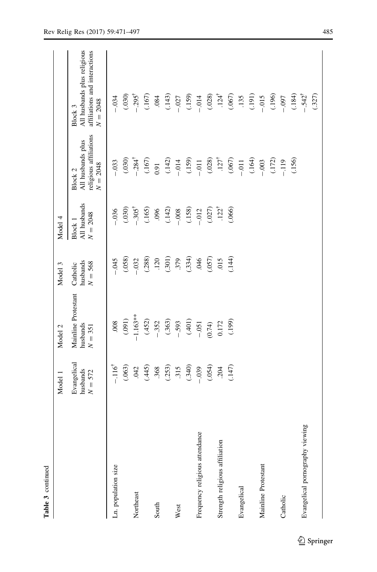|                                 | Model 1                              | Model 2                                      | Model 3                           | Model 4                               |                                                                      |                                                                                       |
|---------------------------------|--------------------------------------|----------------------------------------------|-----------------------------------|---------------------------------------|----------------------------------------------------------------------|---------------------------------------------------------------------------------------|
|                                 | Evangelical<br>husbands<br>$N = 572$ | Mainline Protestant<br>husbands<br>$N = 351$ | husbands<br>$N = 568$<br>Catholic | All husbands<br>$N = 2048$<br>Block 1 | religious affiliations<br>All husbands plus<br>$N = 2048$<br>Block 2 | All husbands plus religious<br>affiliations and interactions<br>$N = 2048$<br>Block 3 |
| Ln. population size             | $-116^{\dagger}$                     | 008                                          | $-0.45$                           | $-0.036$                              | $-.033$                                                              | $-.034$                                                                               |
|                                 | (.063)                               | (.091)                                       | (.058)                            | (030)                                 | (.030)                                                               | (.030)                                                                                |
| Northeast                       | .042                                 | $-1.163**$                                   | $-.032$                           | $-305$ <sup>†</sup>                   | $-.284$ <sup>†</sup>                                                 | $-0.295$ <sup>†</sup>                                                                 |
|                                 | (445)                                | (.452)                                       | (.288)                            | (.165)                                | (.167)                                                               | (.167)                                                                                |
| South                           | .368                                 | $-352$                                       | .120                              | 096                                   | 0.91                                                                 | .084                                                                                  |
|                                 | (.253)                               | (.363)                                       | (.301)                            | (.142)                                | (.142)                                                               | (.143)                                                                                |
| West                            | .315                                 | $-593$                                       | .379                              | $-0.008$                              | $-.014$                                                              | $-.027$                                                                               |
|                                 | (.340)                               | (401)                                        | (.334)                            | (.158)                                | (.159)                                                               | (.159)                                                                                |
| Frequency religious attendance  | $-0.039$                             | $-0.51$                                      | 046                               | $-.012$                               | $-0.01$                                                              | $-.014$                                                                               |
|                                 | (.054)                               | (0.74)                                       | (057)                             | (027)                                 | (.028)                                                               | (.028)                                                                                |
| Strength religious affiliation  | .204                                 | 0.172                                        | 015                               | $.122^{\dagger}$                      | $.127^{\dagger}$                                                     | $.124^{\dagger}$                                                                      |
|                                 | (.147)                               | (199)                                        | (14)                              | (.066)                                | (.067)                                                               | (.067)                                                                                |
| Evangelical                     |                                      |                                              |                                   |                                       | $-.011$                                                              | .135                                                                                  |
|                                 |                                      |                                              |                                   |                                       | (.164)                                                               | (191)                                                                                 |
| Mainline Protestant             |                                      |                                              |                                   |                                       | $-.003$                                                              | $-.015$                                                                               |
|                                 |                                      |                                              |                                   |                                       | (.172)                                                               | (.196)                                                                                |
| Catholic                        |                                      |                                              |                                   |                                       | $-119$                                                               | $-0.097$                                                                              |
|                                 |                                      |                                              |                                   |                                       | (.156)                                                               | (.184)                                                                                |
| Evangelical pornography viewing |                                      |                                              |                                   |                                       |                                                                      | $-.542$ <sup>†</sup>                                                                  |
|                                 |                                      |                                              |                                   |                                       |                                                                      | (.327)                                                                                |
|                                 |                                      |                                              |                                   |                                       |                                                                      |                                                                                       |

Table 3 continued

Table 3 continued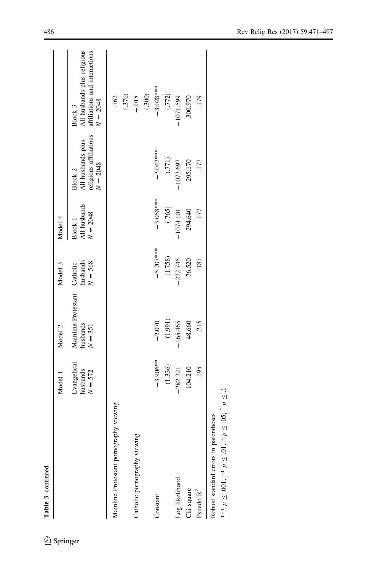|                                         | Model 1                              | Model 2                                      | Model 3                           | Model 4                               |                                                                                 |                                                                                       |
|-----------------------------------------|--------------------------------------|----------------------------------------------|-----------------------------------|---------------------------------------|---------------------------------------------------------------------------------|---------------------------------------------------------------------------------------|
|                                         | Evangelical<br>husbands<br>$N = 572$ | Mainline Protestant<br>husbands<br>$N = 351$ | husbands<br>$N = 568$<br>Catholic | All husbands<br>$N = 2048$<br>Block 1 | religious affiliations<br>All husbands plus<br>$N = 2048$<br>Block <sub>2</sub> | All husbands plus religious<br>affiliations and interactions<br>$N = 2048$<br>Block 3 |
| Mainline Protestant pornography viewing |                                      |                                              |                                   |                                       |                                                                                 | .162                                                                                  |
|                                         |                                      |                                              |                                   |                                       |                                                                                 | (.376)                                                                                |
| Catholic pornography viewing            |                                      |                                              |                                   |                                       |                                                                                 | $-.018$                                                                               |
|                                         |                                      |                                              |                                   |                                       |                                                                                 | (.300)                                                                                |
| Constant                                | $-3.906**$                           | $-2.070$                                     | $-5.707***$                       | $-3.058***$                           | $-3.042***$                                                                     | $-3.028***$                                                                           |
|                                         | (1.336)                              | (1.991)                                      | (1.758)                           | (.765)                                | (.771)                                                                          | (.772)                                                                                |
| Log likelihood                          | $-282.221$                           | $-165.465$                                   | $-272.745$                        | $-1074.101$                           | $-1073.697$                                                                     | $-1071.599$                                                                           |
| Chi square                              | 104.210                              | 48.660                                       | 76.520                            | 294.640                               | 295.170                                                                         | 300.970                                                                               |
| Psuedo R <sup>2</sup>                   | .195                                 | 215                                          | $\frac{18}{1}$                    | .177                                  | .177                                                                            | .179                                                                                  |
| Robust standard errors in parentheses   |                                      |                                              |                                   |                                       |                                                                                 |                                                                                       |

Robust standard errors in parentheses

\*\*\*  $p \le 0.001$ ; \*\*  $p \le 0.01$ ; \*  $p \le 0.05$ ;  $\frac{1}{2}$ RODUST STANDARIC CITOTS ID PARTIFIERS  $p \leq .001$ ; \*\*  $p \leq .01$ ; \*  $p \leq .05$ ;  $\dagger p \leq .1$ 

 $\underline{\textcircled{\tiny 2}}$  Springer

Table 3 continued

Table 3 continued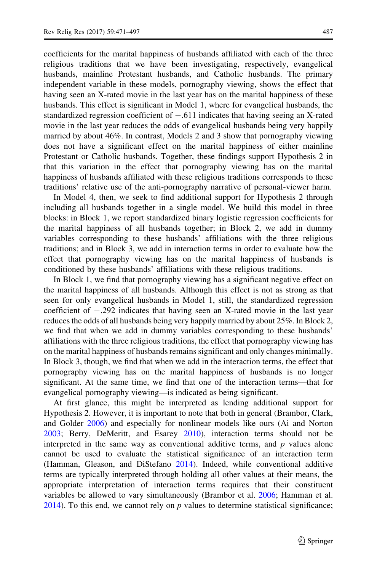coefficients for the marital happiness of husbands affiliated with each of the three religious traditions that we have been investigating, respectively, evangelical husbands, mainline Protestant husbands, and Catholic husbands. The primary independent variable in these models, pornography viewing, shows the effect that having seen an X-rated movie in the last year has on the marital happiness of these husbands. This effect is significant in Model 1, where for evangelical husbands, the standardized regression coefficient of  $-.611$  indicates that having seeing an X-rated movie in the last year reduces the odds of evangelical husbands being very happily married by about 46%. In contrast, Models 2 and 3 show that pornography viewing does not have a significant effect on the marital happiness of either mainline Protestant or Catholic husbands. Together, these findings support Hypothesis 2 in that this variation in the effect that pornography viewing has on the marital happiness of husbands affiliated with these religious traditions corresponds to these traditions' relative use of the anti-pornography narrative of personal-viewer harm.

In Model 4, then, we seek to find additional support for Hypothesis 2 through including all husbands together in a single model. We build this model in three blocks: in Block 1, we report standardized binary logistic regression coefficients for the marital happiness of all husbands together; in Block 2, we add in dummy variables corresponding to these husbands' affiliations with the three religious traditions; and in Block 3, we add in interaction terms in order to evaluate how the effect that pornography viewing has on the marital happiness of husbands is conditioned by these husbands' affiliations with these religious traditions.

In Block 1, we find that pornography viewing has a significant negative effect on the marital happiness of all husbands. Although this effect is not as strong as that seen for only evangelical husbands in Model 1, still, the standardized regression coefficient of  $-.292$  indicates that having seen an X-rated movie in the last year reduces the odds of all husbands being very happily married by about 25%. In Block 2, we find that when we add in dummy variables corresponding to these husbands' affiliations with the three religious traditions, the effect that pornography viewing has on the marital happiness of husbands remains significant and only changes minimally. In Block 3, though, we find that when we add in the interaction terms, the effect that pornography viewing has on the marital happiness of husbands is no longer significant. At the same time, we find that one of the interaction terms—that for evangelical pornography viewing—is indicated as being significant.

At first glance, this might be interpreted as lending additional support for Hypothesis 2. However, it is important to note that both in general (Brambor, Clark, and Golder [2006\)](#page-23-0) and especially for nonlinear models like ours (Ai and Norton [2003;](#page-22-0) Berry, DeMeritt, and Esarey [2010](#page-22-0)), interaction terms should not be interpreted in the same way as conventional additive terms, and  $p$  values alone cannot be used to evaluate the statistical significance of an interaction term (Hamman, Gleason, and DiStefano [2014](#page-24-0)). Indeed, while conventional additive terms are typically interpreted through holding all other values at their means, the appropriate interpretation of interaction terms requires that their constituent variables be allowed to vary simultaneously (Brambor et al. [2006](#page-23-0); Hamman et al. [2014\)](#page-24-0). To this end, we cannot rely on  $p$  values to determine statistical significance;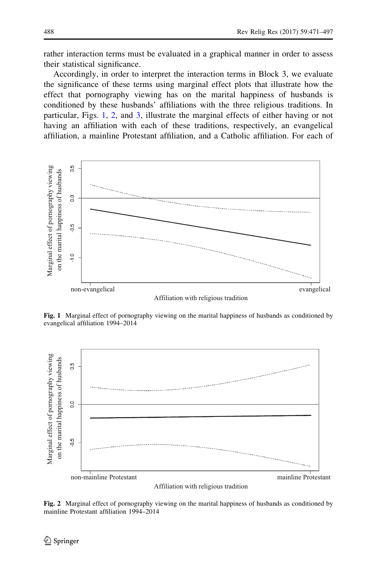<span id="page-17-0"></span>rather interaction terms must be evaluated in a graphical manner in order to assess their statistical significance.

Accordingly, in order to interpret the interaction terms in Block 3, we evaluate the significance of these terms using marginal effect plots that illustrate how the effect that pornography viewing has on the marital happiness of husbands is conditioned by these husbands' affiliations with the three religious traditions. In particular, Figs. 1, 2, and [3,](#page-18-0) illustrate the marginal effects of either having or not having an affiliation with each of these traditions, respectively, an evangelical affiliation, a mainline Protestant affiliation, and a Catholic affiliation. For each of



Fig. 1 Marginal effect of pornography viewing on the marital happiness of husbands as conditioned by evangelical affiliation 1994–2014



Fig. 2 Marginal effect of pornography viewing on the marital happiness of husbands as conditioned by mainline Protestant affiliation 1994–2014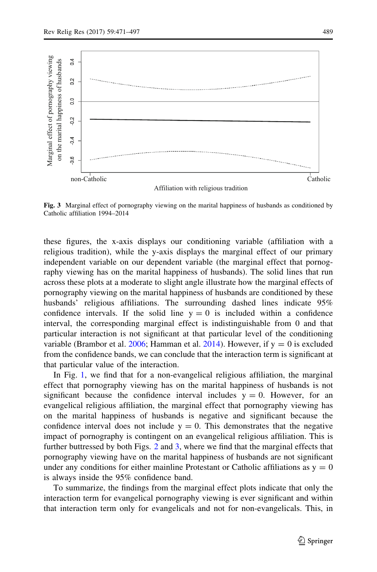<span id="page-18-0"></span>

Fig. 3 Marginal effect of pornography viewing on the marital happiness of husbands as conditioned by Catholic affiliation 1994–2014

these figures, the x-axis displays our conditioning variable (affiliation with a religious tradition), while the y-axis displays the marginal effect of our primary independent variable on our dependent variable (the marginal effect that pornography viewing has on the marital happiness of husbands). The solid lines that run across these plots at a moderate to slight angle illustrate how the marginal effects of pornography viewing on the marital happiness of husbands are conditioned by these husbands' religious affiliations. The surrounding dashed lines indicate 95% confidence intervals. If the solid line  $y = 0$  is included within a confidence interval, the corresponding marginal effect is indistinguishable from 0 and that particular interaction is not significant at that particular level of the conditioning variable (Brambor et al. [2006;](#page-23-0) Hamman et al. [2014\)](#page-24-0). However, if  $y = 0$  is excluded from the confidence bands, we can conclude that the interaction term is significant at that particular value of the interaction.

In Fig. [1,](#page-17-0) we find that for a non-evangelical religious affiliation, the marginal effect that pornography viewing has on the marital happiness of husbands is not significant because the confidence interval includes  $y = 0$ . However, for an evangelical religious affiliation, the marginal effect that pornography viewing has on the marital happiness of husbands is negative and significant because the confidence interval does not include  $y = 0$ . This demonstrates that the negative impact of pornography is contingent on an evangelical religious affiliation. This is further buttressed by both Figs. [2](#page-17-0) and 3, where we find that the marginal effects that pornography viewing have on the marital happiness of husbands are not significant under any conditions for either mainline Protestant or Catholic affiliations as  $y = 0$ is always inside the 95% confidence band.

To summarize, the findings from the marginal effect plots indicate that only the interaction term for evangelical pornography viewing is ever significant and within that interaction term only for evangelicals and not for non-evangelicals. This, in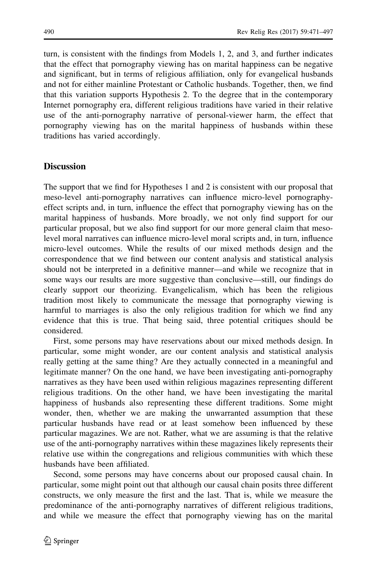turn, is consistent with the findings from Models 1, 2, and 3, and further indicates that the effect that pornography viewing has on marital happiness can be negative and significant, but in terms of religious affiliation, only for evangelical husbands and not for either mainline Protestant or Catholic husbands. Together, then, we find that this variation supports Hypothesis 2. To the degree that in the contemporary Internet pornography era, different religious traditions have varied in their relative use of the anti-pornography narrative of personal-viewer harm, the effect that pornography viewing has on the marital happiness of husbands within these traditions has varied accordingly.

# **Discussion**

The support that we find for Hypotheses 1 and 2 is consistent with our proposal that meso-level anti-pornography narratives can influence micro-level pornographyeffect scripts and, in turn, influence the effect that pornography viewing has on the marital happiness of husbands. More broadly, we not only find support for our particular proposal, but we also find support for our more general claim that mesolevel moral narratives can influence micro-level moral scripts and, in turn, influence micro-level outcomes. While the results of our mixed methods design and the correspondence that we find between our content analysis and statistical analysis should not be interpreted in a definitive manner—and while we recognize that in some ways our results are more suggestive than conclusive—still, our findings do clearly support our theorizing. Evangelicalism, which has been the religious tradition most likely to communicate the message that pornography viewing is harmful to marriages is also the only religious tradition for which we find any evidence that this is true. That being said, three potential critiques should be considered.

First, some persons may have reservations about our mixed methods design. In particular, some might wonder, are our content analysis and statistical analysis really getting at the same thing? Are they actually connected in a meaningful and legitimate manner? On the one hand, we have been investigating anti-pornography narratives as they have been used within religious magazines representing different religious traditions. On the other hand, we have been investigating the marital happiness of husbands also representing these different traditions. Some might wonder, then, whether we are making the unwarranted assumption that these particular husbands have read or at least somehow been influenced by these particular magazines. We are not. Rather, what we are assuming is that the relative use of the anti-pornography narratives within these magazines likely represents their relative use within the congregations and religious communities with which these husbands have been affiliated.

Second, some persons may have concerns about our proposed causal chain. In particular, some might point out that although our causal chain posits three different constructs, we only measure the first and the last. That is, while we measure the predominance of the anti-pornography narratives of different religious traditions, and while we measure the effect that pornography viewing has on the marital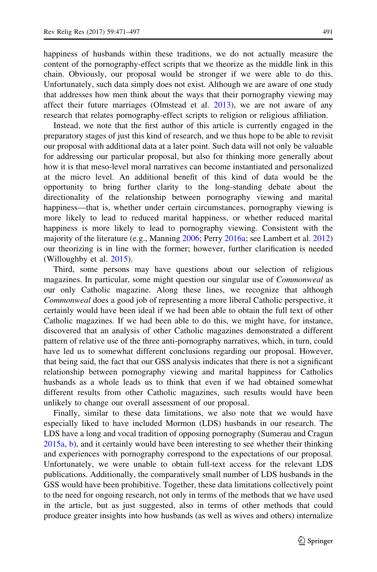happiness of husbands within these traditions, we do not actually measure the content of the pornography-effect scripts that we theorize as the middle link in this chain. Obviously, our proposal would be stronger if we were able to do this. Unfortunately, such data simply does not exist. Although we are aware of one study that addresses how men think about the ways that their pornography viewing may affect their future marriages (Olmstead et al.  $2013$ ), we are not aware of any research that relates pornography-effect scripts to religion or religious affiliation.

Instead, we note that the first author of this article is currently engaged in the preparatory stages of just this kind of research, and we thus hope to be able to revisit our proposal with additional data at a later point. Such data will not only be valuable for addressing our particular proposal, but also for thinking more generally about how it is that meso-level moral narratives can become instantiated and personalized at the micro level. An additional benefit of this kind of data would be the opportunity to bring further clarity to the long-standing debate about the directionality of the relationship between pornography viewing and marital happiness—that is, whether under certain circumstances, pornography viewing is more likely to lead to reduced marital happiness, or whether reduced marital happiness is more likely to lead to pornography viewing. Consistent with the majority of the literature (e.g., Manning [2006;](#page-24-0) Perry [2016a](#page-25-0); see Lambert et al. [2012\)](#page-24-0) our theorizing is in line with the former; however, further clarification is needed (Willoughby et al. [2015](#page-26-0)).

Third, some persons may have questions about our selection of religious magazines. In particular, some might question our singular use of Commonweal as our only Catholic magazine. Along these lines, we recognize that although Commonweal does a good job of representing a more liberal Catholic perspective, it certainly would have been ideal if we had been able to obtain the full text of other Catholic magazines. If we had been able to do this, we might have, for instance, discovered that an analysis of other Catholic magazines demonstrated a different pattern of relative use of the three anti-pornography narratives, which, in turn, could have led us to somewhat different conclusions regarding our proposal. However, that being said, the fact that our GSS analysis indicates that there is not a significant relationship between pornography viewing and marital happiness for Catholics husbands as a whole leads us to think that even if we had obtained somewhat different results from other Catholic magazines, such results would have been unlikely to change our overall assessment of our proposal.

Finally, similar to these data limitations, we also note that we would have especially liked to have included Mormon (LDS) husbands in our research. The LDS have a long and vocal tradition of opposing pornography (Sumerau and Cragun [2015a](#page-25-0), [b\)](#page-25-0), and it certainly would have been interesting to see whether their thinking and experiences with pornography correspond to the expectations of our proposal. Unfortunately, we were unable to obtain full-text access for the relevant LDS publications. Additionally, the comparatively small number of LDS husbands in the GSS would have been prohibitive. Together, these data limitations collectively point to the need for ongoing research, not only in terms of the methods that we have used in the article, but as just suggested, also in terms of other methods that could produce greater insights into how husbands (as well as wives and others) internalize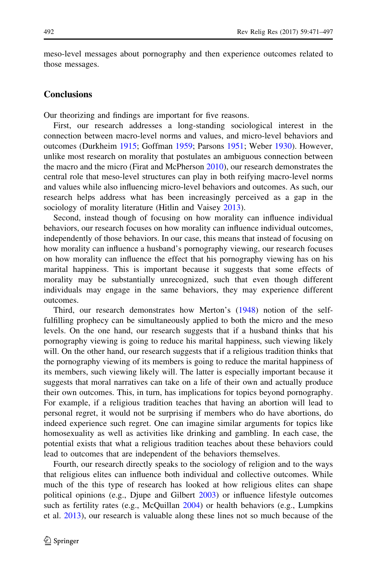meso-level messages about pornography and then experience outcomes related to those messages.

### **Conclusions**

Our theorizing and findings are important for five reasons.

First, our research addresses a long-standing sociological interest in the connection between macro-level norms and values, and micro-level behaviors and outcomes (Durkheim [1915](#page-23-0); Goffman [1959;](#page-23-0) Parsons [1951;](#page-25-0) Weber [1930](#page-26-0)). However, unlike most research on morality that postulates an ambiguous connection between the macro and the micro (Firat and McPherson [2010\)](#page-23-0), our research demonstrates the central role that meso-level structures can play in both reifying macro-level norms and values while also influencing micro-level behaviors and outcomes. As such, our research helps address what has been increasingly perceived as a gap in the sociology of morality literature (Hitlin and Vaisey [2013\)](#page-24-0).

Second, instead though of focusing on how morality can influence individual behaviors, our research focuses on how morality can influence individual outcomes, independently of those behaviors. In our case, this means that instead of focusing on how morality can influence a husband's pornography viewing, our research focuses on how morality can influence the effect that his pornography viewing has on his marital happiness. This is important because it suggests that some effects of morality may be substantially unrecognized, such that even though different individuals may engage in the same behaviors, they may experience different outcomes.

Third, our research demonstrates how Merton's [\(1948](#page-24-0)) notion of the selffulfilling prophecy can be simultaneously applied to both the micro and the meso levels. On the one hand, our research suggests that if a husband thinks that his pornography viewing is going to reduce his marital happiness, such viewing likely will. On the other hand, our research suggests that if a religious tradition thinks that the pornography viewing of its members is going to reduce the marital happiness of its members, such viewing likely will. The latter is especially important because it suggests that moral narratives can take on a life of their own and actually produce their own outcomes. This, in turn, has implications for topics beyond pornography. For example, if a religious tradition teaches that having an abortion will lead to personal regret, it would not be surprising if members who do have abortions, do indeed experience such regret. One can imagine similar arguments for topics like homosexuality as well as activities like drinking and gambling. In each case, the potential exists that what a religious tradition teaches about these behaviors could lead to outcomes that are independent of the behaviors themselves.

Fourth, our research directly speaks to the sociology of religion and to the ways that religious elites can influence both individual and collective outcomes. While much of the this type of research has looked at how religious elites can shape political opinions (e.g., Djupe and Gilbert [2003\)](#page-23-0) or influence lifestyle outcomes such as fertility rates (e.g., McQuillan [2004](#page-24-0)) or health behaviors (e.g., Lumpkins et al. [2013\)](#page-24-0), our research is valuable along these lines not so much because of the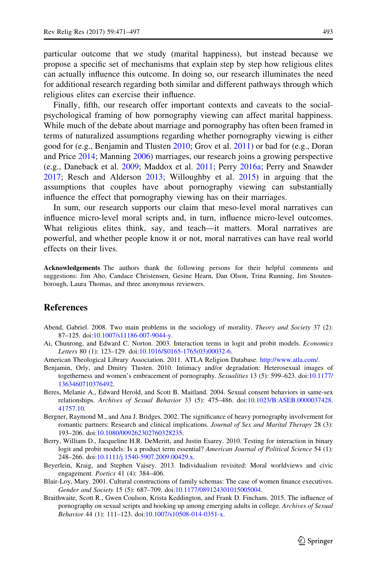<span id="page-22-0"></span>particular outcome that we study (marital happiness), but instead because we propose a specific set of mechanisms that explain step by step how religious elites can actually influence this outcome. In doing so, our research illuminates the need for additional research regarding both similar and different pathways through which religious elites can exercise their influence.

Finally, fifth, our research offer important contexts and caveats to the socialpsychological framing of how pornography viewing can affect marital happiness. While much of the debate about marriage and pornography has often been framed in terms of naturalized assumptions regarding whether pornography viewing is either good for (e.g., Benjamin and Tlusten 2010; Grov et al. [2011](#page-23-0)) or bad for (e.g., Doran and Price [2014](#page-23-0); Manning [2006](#page-24-0)) marriages, our research joins a growing perspective (e.g., Daneback et al. [2009;](#page-23-0) Maddox et al. [2011;](#page-24-0) Perry [2016a](#page-25-0); Perry and Snawder [2017;](#page-25-0) Resch and Alderson [2013](#page-25-0); Willoughby et al. [2015](#page-26-0)) in arguing that the assumptions that couples have about pornography viewing can substantially influence the effect that pornography viewing has on their marriages.

In sum, our research supports our claim that meso-level moral narratives can influence micro-level moral scripts and, in turn, influence micro-level outcomes. What religious elites think, say, and teach—it matters. Moral narratives are powerful, and whether people know it or not, moral narratives can have real world effects on their lives.

Acknowledgements The authors thank the following persons for their helpful comments and suggestions: Jim Aho, Candace Christensen, Gesine Hearn, Dan Olson, Trina Running, Jim Stoutenborough, Laura Thomas, and three anonymous reviewers.

## References

- Abend, Gabriel. 2008. Two main problems in the sociology of morality. *Theory and Society* 37 (2): 87–125. doi:[10.1007/s11186-007-9044-y.](http://dx.doi.org/10.1007/s11186-007-9044-y)
- Ai, Chunrong, and Edward C. Norton. 2003. Interaction terms in logit and probit models. Economics Letters 80 (1): 123–129. doi[:10.1016/S0165-1765\(03\)00032-6](http://dx.doi.org/10.1016/S0165-1765(03)00032-6).
- American Theological Library Association. 2011. ATLA Religion Database. [http://www.atla.com/.](http://www.atla.com/)
- Benjamin, Orly, and Dmitry Tlusten. 2010. Intimacy and/or degradation: Heterosexual images of togetherness and women's embracement of pornography. Sexualities 13 (5): 599–623. doi[:10.1177/](http://dx.doi.org/10.1177/1363460710376492) [1363460710376492.](http://dx.doi.org/10.1177/1363460710376492)
- Beres, Melanie A., Edward Herold, and Scott B. Maitland. 2004. Sexual consent behaviors in same-sex relationships. Archives of Sexual Behavior 33 (5): 475–486. doi:[10.1023/B:ASEB.0000037428.](http://dx.doi.org/10.1023/B:ASEB.0000037428.41757.10) [41757.10.](http://dx.doi.org/10.1023/B:ASEB.0000037428.41757.10)
- Bergner, Raymond M., and Ana J. Bridges. 2002. The significance of heavy pornography involvement for romantic partners: Research and clinical implications. Journal of Sex and Marital Therapy 28 (3): 193–206. doi:[10.1080/009262302760328235](http://dx.doi.org/10.1080/009262302760328235).
- Berry, William D., Jacqueline H.R. DeMeritt, and Justin Esarey. 2010. Testing for interaction in binary logit and probit models: Is a product term essential? American Journal of Political Science 54 (1): 248–266. doi:[10.1111/j.1540-5907.2009.00429.x](http://dx.doi.org/10.1111/j.1540-5907.2009.00429.x).
- Beyerlein, Kraig, and Stephen Vaisey. 2013. Individualism revisited: Moral worldviews and civic engagement. Poetics 41 (4): 384–406.
- Blair-Loy, Mary. 2001. Cultural constructions of family schemas: The case of women finance executives. Gender and Society 15 (5): 687–709. doi[:10.1177/089124301015005004](http://dx.doi.org/10.1177/089124301015005004).
- Braithwaite, Scott R., Gwen Coulson, Krista Keddington, and Frank D. Fincham. 2015. The influence of pornography on sexual scripts and hooking up among emerging adults in college. Archives of Sexual Behavior 44 (1): 111–123. doi:[10.1007/s10508-014-0351-x](http://dx.doi.org/10.1007/s10508-014-0351-x).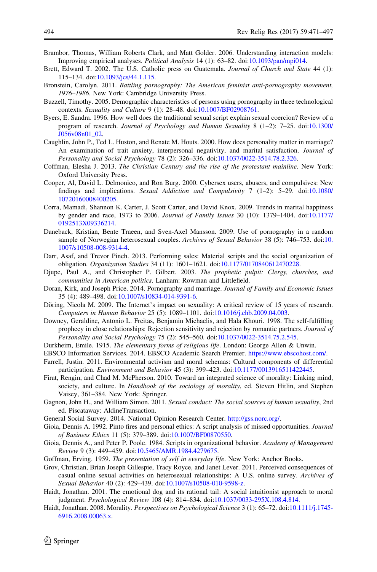- <span id="page-23-0"></span>Brambor, Thomas, William Roberts Clark, and Matt Golder. 2006. Understanding interaction models: Improving empirical analyses. Political Analysis 14 (1): 63–82. doi[:10.1093/pan/mpi014](http://dx.doi.org/10.1093/pan/mpi014).
- Brett, Edward T. 2002. The U.S. Catholic press on Guatemala. Journal of Church and State 44 (1): 115–134. doi:[10.1093/jcs/44.1.115.](http://dx.doi.org/10.1093/jcs/44.1.115)
- Bronstein, Carolyn. 2011. Battling pornography: The American feminist anti-pornography movement, 1976–1986. New York: Cambridge University Press.
- Buzzell, Timothy. 2005. Demographic characteristics of persons using pornography in three technological contexts. Sexuality and Culture 9 (1): 28–48. doi:[10.1007/BF02908761](http://dx.doi.org/10.1007/BF02908761).
- Byers, E. Sandra. 1996. How well does the traditional sexual script explain sexual coercion? Review of a program of research. Journal of Psychology and Human Sexuality 8 (1–2): 7–25. doi[:10.1300/](http://dx.doi.org/10.1300/J056v08n01_02) [J056v08n01\\_02.](http://dx.doi.org/10.1300/J056v08n01_02)
- Caughlin, John P., Ted L. Huston, and Renate M. Houts. 2000. How does personality matter in marriage? An examination of trait anxiety, interpersonal negativity, and marital satisfaction. Journal of Personality and Social Psychology 78 (2): 326–336. doi:[10.1037/0022-3514.78.2.326.](http://dx.doi.org/10.1037/0022-3514.78.2.326)
- Coffman, Elesha J. 2013. The Christian Century and the rise of the protestant mainline. New York: Oxford University Press.
- Cooper, Al, David L. Delmonico, and Ron Burg. 2000. Cybersex users, abusers, and compulsives: New findings and implications. Sexual Addiction and Compulsivity 7 (1–2): 5–29. doi[:10.1080/](http://dx.doi.org/10.1080/10720160008400205) [10720160008400205.](http://dx.doi.org/10.1080/10720160008400205)
- Corra, Mamadi, Shannon K. Carter, J. Scott Carter, and David Knox. 2009. Trends in marital happiness by gender and race, 1973 to 2006. Journal of Family Issues 30 (10): 1379–1404. doi[:10.1177/](http://dx.doi.org/10.1177/0192513X09336214) [0192513X09336214](http://dx.doi.org/10.1177/0192513X09336214).
- Daneback, Kristian, Bente Traeen, and Sven-Axel Mansson. 2009. Use of pornography in a random sample of Norwegian heterosexual couples. Archives of Sexual Behavior 38 (5): 746–753. doi[:10.](http://dx.doi.org/10.1007/s10508-008-9314-4) [1007/s10508-008-9314-4.](http://dx.doi.org/10.1007/s10508-008-9314-4)
- Darr, Asaf, and Trevor Pinch. 2013. Performing sales: Material scripts and the social organization of obligation. Organization Studies 34 (11): 1601–1621. doi[:10.1177/0170840612470228.](http://dx.doi.org/10.1177/0170840612470228)
- Djupe, Paul A., and Christopher P. Gilbert. 2003. The prophetic pulpit: Clergy, churches, and communities in American politics. Lanham: Rowman and Littlefield.
- Doran, Kirk, and Joseph Price. 2014. Pornography and marriage. Journal of Family and Economic Issues 35 (4): 489–498. doi:[10.1007/s10834-014-9391-6](http://dx.doi.org/10.1007/s10834-014-9391-6).
- Döring, Nicola M. 2009. The Internet's impact on sexuality: A critical review of 15 years of research. Computers in Human Behavior 25 (5): 1089–1101. doi:[10.1016/j.chb.2009.04.003](http://dx.doi.org/10.1016/j.chb.2009.04.003).
- Downey, Geraldine, Antonio L. Freitas, Benjamin Michaelis, and Hala Khouri. 1998. The self-fulfilling prophecy in close relationships: Rejection sensitivity and rejection by romantic partners. Journal of Personality and Social Psychology 75 (2): 545–560. doi:[10.1037/0022-3514.75.2.545.](http://dx.doi.org/10.1037/0022-3514.75.2.545)
- Durkheim, Emile. 1915. The elementary forms of religious life. London: George Allen & Unwin.
- EBSCO Information Services. 2014. EBSCO Academic Search Premier. <https://www.ebscohost.com/>.
- Farrell, Justin. 2011. Environmental activism and moral schemas: Cultural components of differential participation. Environment and Behavior 45 (3): 399–423. doi[:10.1177/0013916511422445.](http://dx.doi.org/10.1177/0013916511422445)
- Firat, Rengin, and Chad M. McPherson. 2010. Toward an integrated science of morality: Linking mind, society, and culture. In Handbook of the sociology of morality, ed. Steven Hitlin, and Stephen Vaisey, 361–384. New York: Springer.
- Gagnon, John H., and William Simon. 2011. Sexual conduct: The social sources of human sexuality, 2nd ed. Piscataway: AldineTransaction.
- General Social Survey. 2014. National Opinion Research Center. <http://gss.norc.org/>.
- Gioia, Dennis A. 1992. Pinto fires and personal ethics: A script analysis of missed opportunities. Journal of Business Ethics 11 (5): 379–389. doi:[10.1007/BF00870550](http://dx.doi.org/10.1007/BF00870550).
- Gioia, Dennis A., and Peter P. Poole. 1984. Scripts in organizational behavior. Academy of Management Review 9 (3): 449–459. doi[:10.5465/AMR.1984.4279675](http://dx.doi.org/10.5465/AMR.1984.4279675).
- Goffman, Erving. 1959. The presentation of self in everyday life. New York: Anchor Books.
- Grov, Christian, Brian Joseph Gillespie, Tracy Royce, and Janet Lever. 2011. Perceived consequences of casual online sexual activities on heterosexual relationships: A U.S. online survey. Archives of Sexual Behavior 40 (2): 429–439. doi[:10.1007/s10508-010-9598-z.](http://dx.doi.org/10.1007/s10508-010-9598-z)
- Haidt, Jonathan. 2001. The emotional dog and its rational tail: A social intuitionist approach to moral judgment. Psychological Review 108 (4): 814–834. doi[:10.1037/0033-295X.108.4.814](http://dx.doi.org/10.1037/0033-295X.108.4.814).
- Haidt, Jonathan. 2008. Morality. Perspectives on Psychological Science 3 (1): 65–72. doi[:10.1111/j.1745-](http://dx.doi.org/10.1111/j.1745-6916.2008.00063.x) [6916.2008.00063.x.](http://dx.doi.org/10.1111/j.1745-6916.2008.00063.x)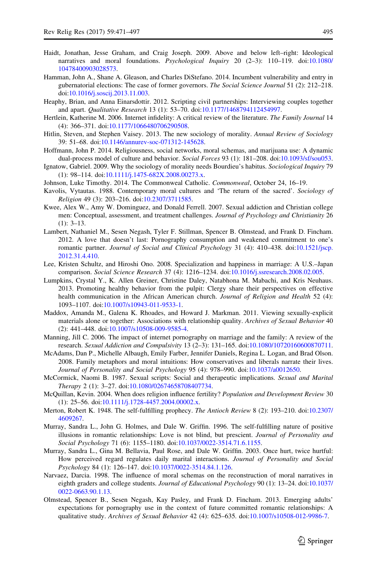- <span id="page-24-0"></span>Haidt, Jonathan, Jesse Graham, and Craig Joseph. 2009. Above and below left–right: Ideological narratives and moral foundations. Psychological Inquiry 20 (2–3): 110–119. doi[:10.1080/](http://dx.doi.org/10.1080/10478400903028573) [10478400903028573.](http://dx.doi.org/10.1080/10478400903028573)
- Hamman, John A., Shane A. Gleason, and Charles DiStefano. 2014. Incumbent vulnerability and entry in gubernatorial elections: The case of former governors. The Social Science Journal 51 (2): 212–218. doi[:10.1016/j.soscij.2013.11.003.](http://dx.doi.org/10.1016/j.soscij.2013.11.003)
- Heaphy, Brian, and Anna Einarsdottir. 2012. Scripting civil partnerships: Interviewing couples together and apart. Qualitative Research 13 (1): 53–70. doi[:10.1177/1468794112454997](http://dx.doi.org/10.1177/1468794112454997).
- Hertlein, Katherine M. 2006. Internet infidelity: A critical review of the literature. The Family Journal 14 (4): 366–371. doi[:10.1177/1066480706290508.](http://dx.doi.org/10.1177/1066480706290508)
- Hitlin, Steven, and Stephen Vaisey. 2013. The new sociology of morality. Annual Review of Sociology 39: 51–68. doi:[10.1146/annurev-soc-071312-145628.](http://dx.doi.org/10.1146/annurev-soc-071312-145628)
- Hoffmann, John P. 2014. Religiousness, social networks, moral schemas, and marijuana use: A dynamic dual-process model of culture and behavior. Social Forces 93 (1): 181–208. doi[:10.1093/sf/sou053](http://dx.doi.org/10.1093/sf/sou053).
- Ignatow, Gabriel. 2009. Why the sociology of morality needs Bourdieu's habitus. Sociological Inquiry 79 (1): 98–114. doi[:10.1111/j.1475-682X.2008.00273.x](http://dx.doi.org/10.1111/j.1475-682X.2008.00273.x).
- Johnson, Luke Timothy. 2014. The Commonweal Catholic. Commonweal, October 24, 16–19.
- Kavolis, Vytautas. 1988. Contemporary moral cultures and 'The return of the sacred'. Sociology of Religion 49 (3): 203–216. doi[:10.2307/3711585](http://dx.doi.org/10.2307/3711585).
- Kwee, Alex W., Amy W. Dominguez, and Donald Ferrell. 2007. Sexual addiction and Christian college men: Conceptual, assessment, and treatment challenges. Journal of Psychology and Christianity 26  $(1): 3-13.$
- Lambert, Nathaniel M., Sesen Negash, Tyler F. Stillman, Spencer B. Olmstead, and Frank D. Fincham. 2012. A love that doesn't last: Pornography consumption and weakened commitment to one's romantic partner. Journal of Social and Clinical Psychology 31 (4): 410–438. doi[:10.1521/jscp.](http://dx.doi.org/10.1521/jscp.2012.31.4.410) [2012.31.4.410.](http://dx.doi.org/10.1521/jscp.2012.31.4.410)
- Lee, Kristen Schultz, and Hiroshi Ono. 2008. Specialization and happiness in marriage: A U.S.–Japan comparison. Social Science Research 37 (4): 1216–1234. doi[:10.1016/j.ssresearch.2008.02.005](http://dx.doi.org/10.1016/j.ssresearch.2008.02.005).
- Lumpkins, Crystal Y., K. Allen Greiner, Christine Daley, Natabhona M. Mabachi, and Kris Neuhaus. 2013. Promoting healthy behavior from the pulpit: Clergy share their perspectives on effective health communication in the African American church. Journal of Religion and Health 52 (4): 1093–1107. doi:[10.1007/s10943-011-9533-1.](http://dx.doi.org/10.1007/s10943-011-9533-1)
- Maddox, Amanda M., Galena K. Rhoades, and Howard J. Markman. 2011. Viewing sexually-explicit materials alone or together: Associations with relationship quality. Archives of Sexual Behavior 40 (2): 441–448. doi[:10.1007/s10508-009-9585-4.](http://dx.doi.org/10.1007/s10508-009-9585-4)
- Manning, Jill C. 2006. The impact of internet pornography on marriage and the family: A review of the research. Sexual Addiction and Compulsivity 13 (2–3): 131–165. doi:[10.1080/10720160600870711](http://dx.doi.org/10.1080/10720160600870711).
- McAdams, Dan P., Michelle Albaugh, Emily Farber, Jennifer Daniels, Regina L. Logan, and Brad Olson. 2008. Family metaphors and moral intuitions: How conservatives and liberals narrate their lives. Journal of Personality and Social Psychology 95 (4): 978–990. doi:[10.1037/a0012650](http://dx.doi.org/10.1037/a0012650).
- McCormick, Naomi B. 1987. Sexual scripts: Social and therapeutic implications. Sexual and Marital Therapy 2 (1): 3–27. doi:[10.1080/02674658708407734.](http://dx.doi.org/10.1080/02674658708407734)
- McQuillan, Kevin. 2004. When does religion influence fertility? Population and Development Review 30 (1): 25–56. doi[:10.1111/j.1728-4457.2004.00002.x.](http://dx.doi.org/10.1111/j.1728-4457.2004.00002.x)
- Merton, Robert K. 1948. The self-fulfilling prophecy. The Antioch Review 8 (2): 193-210. doi[:10.2307/](http://dx.doi.org/10.2307/4609267) [4609267.](http://dx.doi.org/10.2307/4609267)
- Murray, Sandra L., John G. Holmes, and Dale W. Griffin. 1996. The self-fulfilling nature of positive illusions in romantic relationships: Love is not blind, but prescient. Journal of Personality and Social Psychology 71 (6): 1155–1180. doi:[10.1037/0022-3514.71.6.1155.](http://dx.doi.org/10.1037/0022-3514.71.6.1155)
- Murray, Sandra L., Gina M. Bellavia, Paul Rose, and Dale W. Griffin. 2003. Once hurt, twice hurtful: How perceived regard regulates daily marital interactions. Journal of Personality and Social Psychology 84 (1): 126–147. doi[:10.1037/0022-3514.84.1.126](http://dx.doi.org/10.1037/0022-3514.84.1.126).
- Narvaez, Darcia. 1998. The influence of moral schemas on the reconstruction of moral narratives in eighth graders and college students. Journal of Educational Psychology 90 (1): 13–24. doi[:10.1037/](http://dx.doi.org/10.1037/0022-0663.90.1.13) [0022-0663.90.1.13](http://dx.doi.org/10.1037/0022-0663.90.1.13).
- Olmstead, Spencer B., Sesen Negash, Kay Pasley, and Frank D. Fincham. 2013. Emerging adults' expectations for pornography use in the context of future committed romantic relationships: A qualitative study. Archives of Sexual Behavior 42 (4): 625–635. doi[:10.1007/s10508-012-9986-7.](http://dx.doi.org/10.1007/s10508-012-9986-7)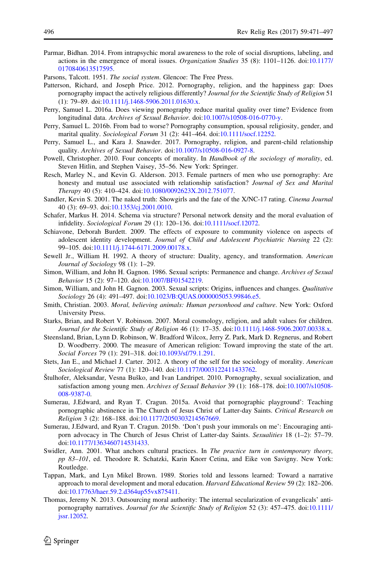- <span id="page-25-0"></span>Parmar, Bidhan. 2014. From intrapsychic moral awareness to the role of social disruptions, labeling, and actions in the emergence of moral issues. Organization Studies 35 (8): 1101–1126. doi[:10.1177/](http://dx.doi.org/10.1177/0170840613517595) [0170840613517595.](http://dx.doi.org/10.1177/0170840613517595)
- Parsons, Talcott. 1951. The social system. Glencoe: The Free Press.
- Patterson, Richard, and Joseph Price. 2012. Pornography, religion, and the happiness gap: Does pornography impact the actively religious differently? Journal for the Scientific Study of Religion 51 (1): 79–89. doi[:10.1111/j.1468-5906.2011.01630.x.](http://dx.doi.org/10.1111/j.1468-5906.2011.01630.x)
- Perry, Samuel L. 2016a. Does viewing pornography reduce marital quality over time? Evidence from longitudinal data. Archives of Sexual Behavior. doi:[10.1007/s10508-016-0770-y.](http://dx.doi.org/10.1007/s10508-016-0770-y)
- Perry, Samuel L. 2016b. From bad to worse? Pornography consumption, spousal religiosity, gender, and marital quality. Sociological Forum 31 (2): 441–464. doi:[10.1111/socf.12252.](http://dx.doi.org/10.1111/socf.12252)
- Perry, Samuel L., and Kara J. Snawder. 2017. Pornography, religion, and parent-child relationship quality. Archives of Sexual Behavior. doi[:10.1007/s10508-016-0927-8](http://dx.doi.org/10.1007/s10508-016-0927-8).
- Powell, Christopher. 2010. Four concepts of morality. In Handbook of the sociology of morality, ed. Steven Hitlin, and Stephen Vaisey, 35–56. New York: Springer.
- Resch, Marley N., and Kevin G. Alderson. 2013. Female partners of men who use pornography: Are honesty and mutual use associated with relationship satisfaction? Journal of Sex and Marital Therapy 40 (5): 410–424. doi:[10.1080/0092623X.2012.751077](http://dx.doi.org/10.1080/0092623X.2012.751077).
- Sandler, Kevin S. 2001. The naked truth: Showgirls and the fate of the X/NC-17 rating. Cinema Journal 40 (3): 69–93. doi:[10.1353/cj.2001.0010](http://dx.doi.org/10.1353/cj.2001.0010).
- Schafer, Markus H. 2014. Schema via structure? Personal network density and the moral evaluation of infidelity. Sociological Forum 29 (1): 120–136. doi:[10.1111/socf.12072](http://dx.doi.org/10.1111/socf.12072).
- Schiavone, Deborah Burdett. 2009. The effects of exposure to community violence on aspects of adolescent identity development. Journal of Child and Adolescent Psychiatric Nursing 22 (2): 99–105. doi:[10.1111/j.1744-6171.2009.00178.x](http://dx.doi.org/10.1111/j.1744-6171.2009.00178.x).
- Sewell Jr., William H. 1992. A theory of structure: Duality, agency, and transformation. American Journal of Sociology 98 (1): 1–29.
- Simon, William, and John H. Gagnon. 1986. Sexual scripts: Permanence and change. Archives of Sexual Behavior 15 (2): 97–120. doi:[10.1007/BF01542219](http://dx.doi.org/10.1007/BF01542219).
- Simon, William, and John H. Gagnon. 2003. Sexual scripts: Origins, influences and changes. Qualitative Sociology 26 (4): 491–497. doi:[10.1023/B:QUAS.0000005053.99846.e5.](http://dx.doi.org/10.1023/B:QUAS.0000005053.99846.e5)
- Smith, Christian. 2003. Moral, believing animals: Human personhood and culture. New York: Oxford University Press.
- Starks, Brian, and Robert V. Robinson. 2007. Moral cosmology, religion, and adult values for children. Journal for the Scientific Study of Religion 46 (1): 17–35. doi[:10.1111/j.1468-5906.2007.00338.x.](http://dx.doi.org/10.1111/j.1468-5906.2007.00338.x)
- Steensland, Brian, Lynn D. Robinson, W. Bradford Wilcox, Jerry Z. Park, Mark D. Regnerus, and Robert D. Woodberry. 2000. The measure of American religion: Toward improving the state of the art. Social Forces 79 (1): 291–318. doi[:10.1093/sf/79.1.291.](http://dx.doi.org/10.1093/sf/79.1.291)
- Stets, Jan E., and Michael J. Carter. 2012. A theory of the self for the sociology of morality. American Sociological Review 77 (1): 120–140. doi:[10.1177/0003122411433762.](http://dx.doi.org/10.1177/0003122411433762)
- Štulhofer, Aleksandar, Vesna Buško, and Ivan Landripet. 2010. Pornography, sexual socialization, and satisfaction among young men. Archives of Sexual Behavior 39 (1): 168–178. doi:[10.1007/s10508-](http://dx.doi.org/10.1007/s10508-008-9387-0) [008-9387-0](http://dx.doi.org/10.1007/s10508-008-9387-0).
- Sumerau, J.Edward, and Ryan T. Cragun. 2015a. Avoid that pornographic playground': Teaching pornographic abstinence in The Church of Jesus Christ of Latter-day Saints. Critical Research on Religion 3 (2): 168–188. doi[:10.1177/2050303214567669](http://dx.doi.org/10.1177/2050303214567669).
- Sumerau, J.Edward, and Ryan T. Cragun. 2015b. 'Don't push your immorals on me': Encouraging antiporn advocacy in The Church of Jesus Christ of Latter-day Saints. Sexualities 18 (1–2): 57–79. doi[:10.1177/1363460714531433](http://dx.doi.org/10.1177/1363460714531433).
- Swidler, Ann. 2001. What anchors cultural practices. In The practice turn in contemporary theory, pp 83–101, ed. Theodore R. Schatzki, Karin Knorr Cetina, and Eike von Savigny. New York: Routledge.
- Tappan, Mark, and Lyn Mikel Brown. 1989. Stories told and lessons learned: Toward a narrative approach to moral development and moral education. Harvard Educational Review 59 (2): 182–206. doi[:10.17763/haer.59.2.d364up55vx875411.](http://dx.doi.org/10.17763/haer.59.2.d364up55vx875411)
- Thomas, Jeremy N. 2013. Outsourcing moral authority: The internal secularization of evangelicals' antipornography narratives. Journal for the Scientific Study of Religion 52 (3): 457–475. doi[:10.1111/](http://dx.doi.org/10.1111/jssr.12052) [jssr.12052.](http://dx.doi.org/10.1111/jssr.12052)